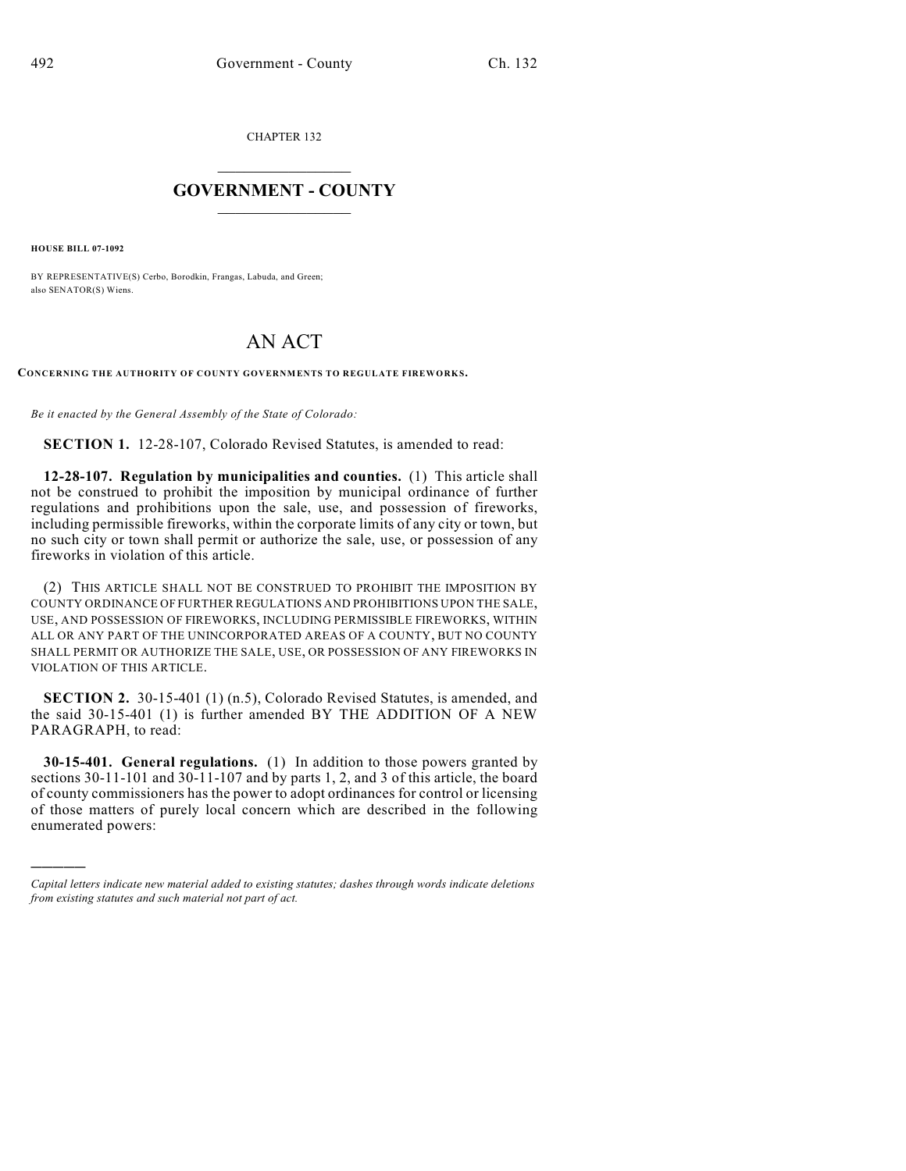CHAPTER 132

## $\overline{\phantom{a}}$  . The set of the set of the set of the set of the set of the set of the set of the set of the set of the set of the set of the set of the set of the set of the set of the set of the set of the set of the set o **GOVERNMENT - COUNTY**  $\_$

**HOUSE BILL 07-1092**

)))))

BY REPRESENTATIVE(S) Cerbo, Borodkin, Frangas, Labuda, and Green; also SENATOR(S) Wiens.

## AN ACT

**CONCERNING THE AUTHORITY OF COUNTY GOVERNMENTS TO REGULATE FIREW ORK S.**

*Be it enacted by the General Assembly of the State of Colorado:*

**SECTION 1.** 12-28-107, Colorado Revised Statutes, is amended to read:

**12-28-107. Regulation by municipalities and counties.** (1) This article shall not be construed to prohibit the imposition by municipal ordinance of further regulations and prohibitions upon the sale, use, and possession of fireworks, including permissible fireworks, within the corporate limits of any city or town, but no such city or town shall permit or authorize the sale, use, or possession of any fireworks in violation of this article.

(2) THIS ARTICLE SHALL NOT BE CONSTRUED TO PROHIBIT THE IMPOSITION BY COUNTY ORDINANCE OF FURTHER REGULATIONS AND PROHIBITIONS UPON THE SALE, USE, AND POSSESSION OF FIREWORKS, INCLUDING PERMISSIBLE FIREWORKS, WITHIN ALL OR ANY PART OF THE UNINCORPORATED AREAS OF A COUNTY, BUT NO COUNTY SHALL PERMIT OR AUTHORIZE THE SALE, USE, OR POSSESSION OF ANY FIREWORKS IN VIOLATION OF THIS ARTICLE.

**SECTION 2.** 30-15-401 (1) (n.5), Colorado Revised Statutes, is amended, and the said 30-15-401 (1) is further amended BY THE ADDITION OF A NEW PARAGRAPH, to read:

**30-15-401. General regulations.** (1) In addition to those powers granted by sections 30-11-101 and 30-11-107 and by parts 1, 2, and 3 of this article, the board of county commissioners has the power to adopt ordinances for control or licensing of those matters of purely local concern which are described in the following enumerated powers:

*Capital letters indicate new material added to existing statutes; dashes through words indicate deletions from existing statutes and such material not part of act.*